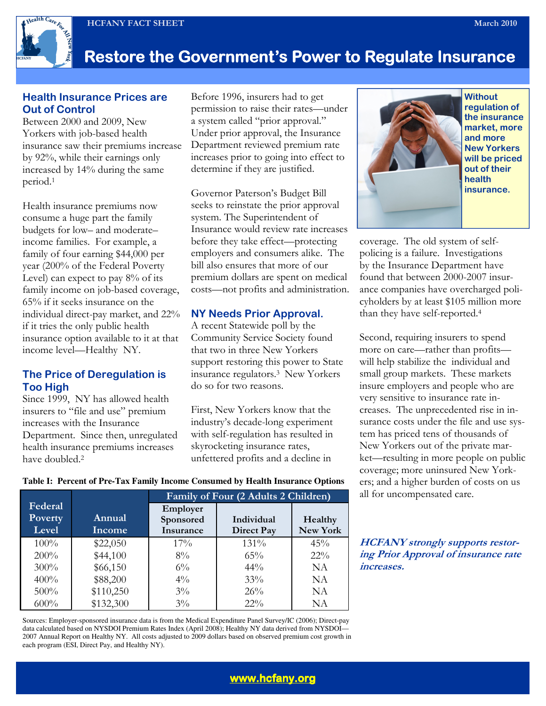HCFANY FACT SHEET March 2010



# Restore the Government's Power to Regulate Insurance

### Health Insurance Prices are Out of Control

Between 2000 and 2009, New Yorkers with job-based health insurance saw their premiums increase by 92%, while their earnings only increased by 14% during the same period.<sup>1</sup>

Health insurance premiums now consume a huge part the family budgets for low– and moderate– income families. For example, a family of four earning \$44,000 per year (200% of the Federal Poverty Level) can expect to pay 8% of its family income on job-based coverage, 65% if it seeks insurance on the individual direct-pay market, and 22% if it tries the only public health insurance option available to it at that income level—Healthy NY.

### The Price of Deregulation is Too High

Since 1999, NY has allowed health insurers to "file and use" premium increases with the Insurance Department. Since then, unregulated health insurance premiums increases have doubled.<sup>2</sup>

Before 1996, insurers had to get permission to raise their rates—under a system called "prior approval." Under prior approval, the Insurance Department reviewed premium rate increases prior to going into effect to determine if they are justified.

Governor Paterson's Budget Bill seeks to reinstate the prior approval system. The Superintendent of Insurance would review rate increases before they take effect—protecting employers and consumers alike. The bill also ensures that more of our premium dollars are spent on medical costs—not profits and administration.

## NY Needs Prior Approval.

A recent Statewide poll by the Community Service Society found that two in three New Yorkers support restoring this power to State insurance regulators.3 New Yorkers do so for two reasons.

First, New Yorkers know that the industry's decade-long experiment with self-regulation has resulted in skyrocketing insurance rates, unfettered profits and a decline in



**Without** regulation of the insurance market, more and more New Yorkers will be priced out of their health insurance.

coverage. The old system of selfpolicing is a failure. Investigations by the Insurance Department have found that between 2000-2007 insurance companies have overcharged policyholders by at least \$105 million more than they have self-reported.<sup>4</sup>

Second, requiring insurers to spend more on care—rather than profits will help stabilize the individual and small group markets. These markets insure employers and people who are very sensitive to insurance rate increases. The unprecedented rise in insurance costs under the file and use system has priced tens of thousands of New Yorkers out of the private market—resulting in more people on public coverage; more uninsured New Yorkers; and a higher burden of costs on us all for uncompensated care.

HCFANY strongly supports restoring Prior Approval of insurance rate increases.

#### **Table I: Percent of Pre-Tax Family Income Consumed by Health Insurance Options**

|                                    |                  | Family of Four (2 Adults 2 Children) |                                 |                     |
|------------------------------------|------------------|--------------------------------------|---------------------------------|---------------------|
| Federal<br><b>Poverty</b><br>Level | Annual<br>Income | Employer<br>Sponsored<br>Insurance   | Individual<br><b>Direct Pay</b> | Healthy<br>New York |
| $100\%$                            | \$22,050         | $17\%$                               | 131%                            | 45%                 |
| $200\%$                            | \$44,100         | $8\%$                                | $65\%$                          | $22\%$              |
| $300\%$                            | \$66,150         | $6\%$                                | $44\%$                          | NA                  |
| 400%                               | \$88,200         | $4\%$                                | 33%                             | NA                  |
| 500%                               | \$110,250        | $3\%$                                | 26%                             | NA                  |
| 600%                               | \$132,300        | $3\%$                                | $22\%$                          | NΑ                  |

Sources: Employer-sponsored insurance data is from the Medical Expenditure Panel Survey/IC (2006); Direct-pay data calculated based on NYSDOI Premium Rates Index (April 2008); Healthy NY data derived from NYSDOI— 2007 Annual Report on Healthy NY. All costs adjusted to 2009 dollars based on observed premium cost growth in each program (ESI, Direct Pay, and Healthy NY).